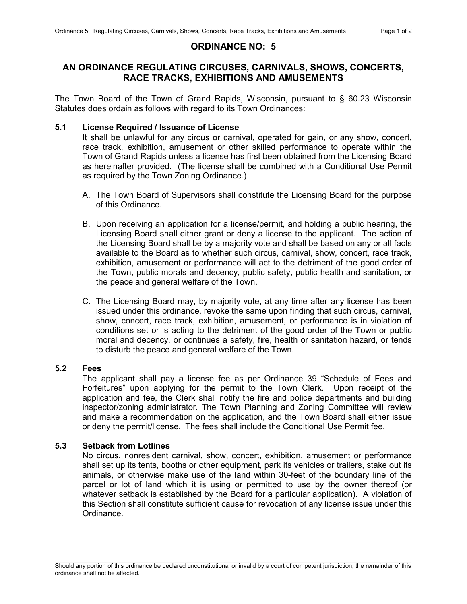# ORDINANCE NO: 5

# AN ORDINANCE REGULATING CIRCUSES, CARNIVALS, SHOWS, CONCERTS, RACE TRACKS, EXHIBITIONS AND AMUSEMENTS

The Town Board of the Town of Grand Rapids, Wisconsin, pursuant to § 60.23 Wisconsin Statutes does ordain as follows with regard to its Town Ordinances:

### 5.1 License Required / Issuance of License

It shall be unlawful for any circus or carnival, operated for gain, or any show, concert, race track, exhibition, amusement or other skilled performance to operate within the Town of Grand Rapids unless a license has first been obtained from the Licensing Board as hereinafter provided. (The license shall be combined with a Conditional Use Permit as required by the Town Zoning Ordinance.)

- A. The Town Board of Supervisors shall constitute the Licensing Board for the purpose of this Ordinance.
- B. Upon receiving an application for a license/permit, and holding a public hearing, the Licensing Board shall either grant or deny a license to the applicant. The action of the Licensing Board shall be by a majority vote and shall be based on any or all facts available to the Board as to whether such circus, carnival, show, concert, race track, exhibition, amusement or performance will act to the detriment of the good order of the Town, public morals and decency, public safety, public health and sanitation, or the peace and general welfare of the Town.
- C. The Licensing Board may, by majority vote, at any time after any license has been issued under this ordinance, revoke the same upon finding that such circus, carnival, show, concert, race track, exhibition, amusement, or performance is in violation of conditions set or is acting to the detriment of the good order of the Town or public moral and decency, or continues a safety, fire, health or sanitation hazard, or tends to disturb the peace and general welfare of the Town.

## 5.2 Fees

The applicant shall pay a license fee as per Ordinance 39 "Schedule of Fees and Forfeitures" upon applying for the permit to the Town Clerk. Upon receipt of the application and fee, the Clerk shall notify the fire and police departments and building inspector/zoning administrator. The Town Planning and Zoning Committee will review and make a recommendation on the application, and the Town Board shall either issue or deny the permit/license. The fees shall include the Conditional Use Permit fee.

## 5.3 Setback from Lotlines

No circus, nonresident carnival, show, concert, exhibition, amusement or performance shall set up its tents, booths or other equipment, park its vehicles or trailers, stake out its animals, or otherwise make use of the land within 30-feet of the boundary line of the parcel or lot of land which it is using or permitted to use by the owner thereof (or whatever setback is established by the Board for a particular application). A violation of this Section shall constitute sufficient cause for revocation of any license issue under this Ordinance.